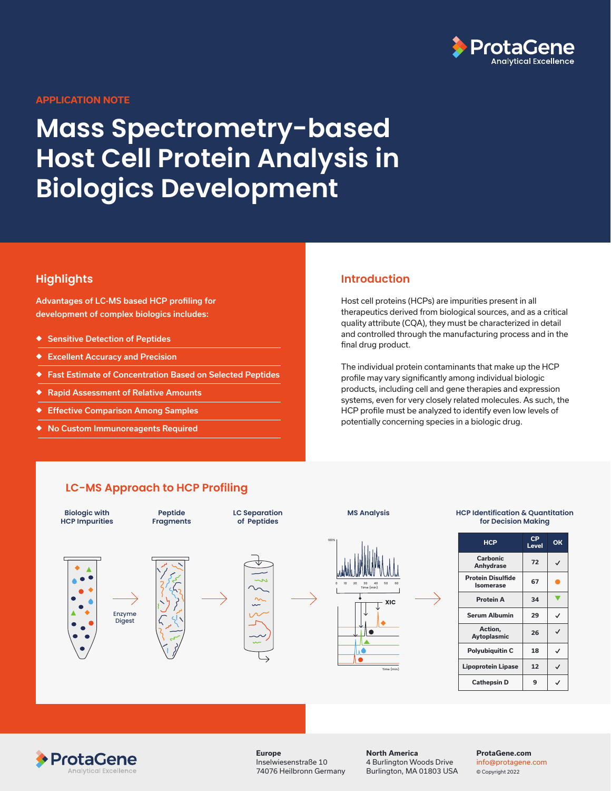

#### **APPLICATION NOTE**

# **Mass Spectrometry-based Host Cell Protein Analysis in Biologics Development**

## **Highlights**

Advantages of LC-MS based HCP profiling for development of complex biologics includes:

- ◆ Sensitive Detection of Peptides
- ◆ Excellent Accuracy and Precision
- ◆ Fast Estimate of Concentration Based on Selected Peptides
- ◆ Rapid Assessment of Relative Amounts
- **Effective Comparison Among Samples**
- ◆ No Custom Immunoreagents Required

#### **Introduction**

Host cell proteins (HCPs) are impurities present in all therapeutics derived from biological sources, and as a critical quality attribute (CQA), they must be characterized in detail and controlled through the manufacturing process and in the final drug product.

The individual protein contaminants that make up the HCP profile may vary significantly among individual biologic products, including cell and gene therapies and expression systems, even for very closely related molecules. As such, the HCP profile must be analyzed to identify even low levels of potentially concerning species in a biologic drug.

## **LC-MS Approach to HCP Profiling**





**Europe** Inselwiesenstraße 10 74076 Heilbronn Germany **North America** 4 Burlington Woods Drive Burlington, MA 01803 USA

#### **ProtaGene.com**  info@protagene.com

© Copyright 2022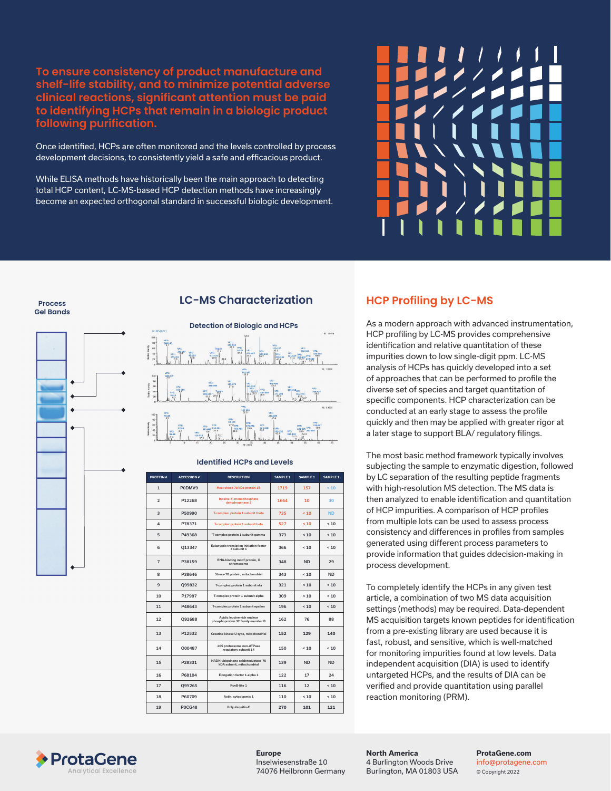**To ensure consistency of product manufacture and shelf-life stability, and to minimize potential adverse clinical reactions, significant attention must be paid to identifying HCPs that remain in a biologic product following purification.** 

Once identified, HCPs are often monitored and the levels controlled by process development decisions, to consistently yield a safe and efficacious product.

While ELISA methods have historically been the main approach to detecting total HCP content, LC-MS-based HCP detection methods have increasingly become an expected orthogonal standard in successful biologic development.



**Gel Bands**

**Process** 



## **LC-MS Characterization**



#### **Identified HCPs and Levels**

| <b>PROTEIN</b> | <b>ACCESSION #</b> | <b>DESCRIPTION</b>                                               | SAMPLE 1 | <b>SAMPLE 1</b> | SAMPLE 1  |
|----------------|--------------------|------------------------------------------------------------------|----------|-----------------|-----------|
| $\mathbf{1}$   | P0DMV9             | Heat shock 70 kDa protein 1B                                     | 1719     | 157             | < 10      |
| $\overline{2}$ | P12268             | Inosine-5'-monophosphate<br>dehydrogenase 2                      | 1664     | 10              | 30        |
| 3              | P50990             | T-complex protein 1 subunit theta                                | 735      | 10              | <b>ND</b> |
| 4              | P78371             | T-complex protein 1 subunit beta                                 | 527      | 10              | 10        |
| 5              | P49368             | T-complex protein 1 subunit gamma                                | 373      | $10^{-1}$       | 10        |
| 6              | 013347             | Eukarvotic translation initiation factor<br>3 subunit 1          | 366      | $10^{-1}$       | 10        |
| $\overline{7}$ | P38159             | RNA-binding motif protein, X<br>chromosome                       | 348      | <b>ND</b>       | 29        |
| 8              | P38646             | Stress-70 protein, mitochondrial                                 | 343      | $10^{-1}$       | <b>ND</b> |
| 9              | 099832             | T-complex protein 1 subunit eta                                  | 321      | $10^{-1}$       | 10        |
| 10             | P17987             | T-complex protein 1 subunit alpha                                | 309      | 10              | 10        |
| 11             | P48643             | T-complex protein 1 subunit epsilon                              | 196      | 10              | 10        |
| 12             | Q92688             | Acidic leucine-rich nuclear<br>phosphoprotein 32 family member B | 162      | 76              | 88        |
| 13             | P12532             | Creatine kinase U-type, mitochondrial                            | 152      | 129             | 140       |
| 14             | 000487             | 26S proteasome non-ATPase<br>regulatory subunit 14               | 150      | $10^{-1}$       | 10        |
| 15             | P28331             | NADH-ubiquinone oxidoreductase 75<br>kDA subunit, mitochondrial  | 139      | <b>ND</b>       | <b>ND</b> |
| 16             | P68104             | Elongation factor 1-alpha 1                                      | 122      | 17              | 24        |
| 17             | O9Y265             | RuvB-like 1                                                      | 116      | 12              | 10        |
| 18             | P60709             | Actin, cytoplasmic 1                                             | 110      | $10^{-1}$       | 10        |
| 19             | <b>P0CG48</b>      | Polyubiquitin-C                                                  | 270      | 101             | 121       |

# **HCP Profiling by LC-MS**

As a modern approach with advanced instrumentation, HCP profiling by LC-MS provides comprehensive identification and relative quantitation of these impurities down to low single-digit ppm. LC-MS analysis of HCPs has quickly developed into a set of approaches that can be performed to profile the diverse set of species and target quantitation of specific components. HCP characterization can be conducted at an early stage to assess the profile quickly and then may be applied with greater rigor at a later stage to support BLA/ regulatory filings.

The most basic method framework typically involves subjecting the sample to enzymatic digestion, followed by LC separation of the resulting peptide fragments with high-resolution MS detection. The MS data is then analyzed to enable identification and quantitation of HCP impurities. A comparison of HCP profiles from multiple lots can be used to assess process consistency and differences in profiles from samples generated using different process parameters to provide information that guides ddecision-making in process development.

To completely identify the HCPs in any given test article, a combination of two MS data acquisition settings (methods) may be required. Data-dependent MS acquisition targets known peptides for identification from a pre-existing library are used because it is fast, robust, and sensitive, which is well-matched for monitoring impurities found at low levels. Data independent acquisition (DIA) is used to identify untargeted HCPs, and the results of DIA can be verified and provide quantitation using parallel reaction monitoring (PRM).



**North America** 4 Burlington Woods Drive Burlington, MA 01803 USA **ProtaGene.com**  info@protagene.com © Copyright 2022